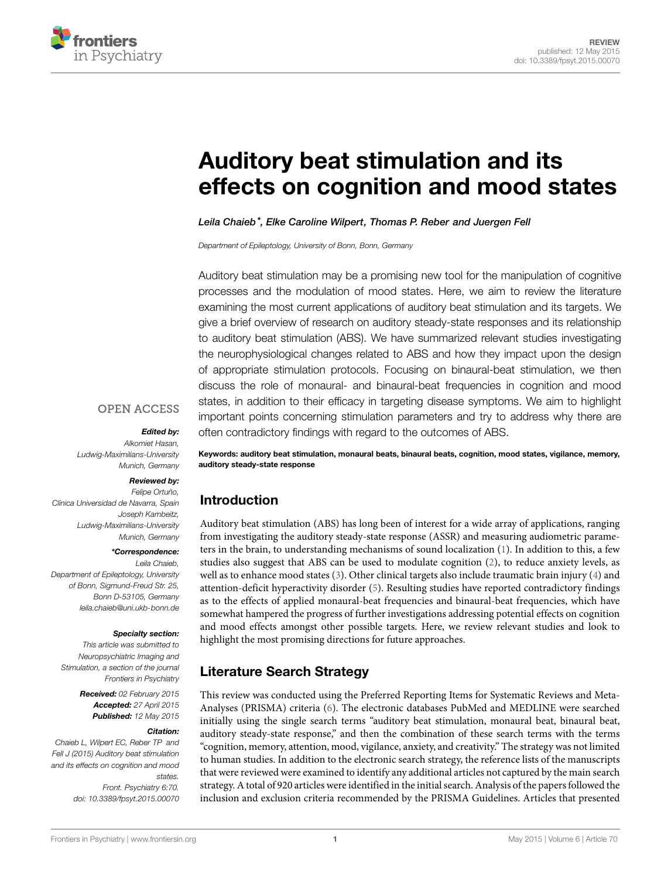

# **[Auditory beat stimulation and its](http://www.frontiersin.org/Journal/10.3389/fpsyt.2015.00070/abstract) [effects on cognition and mood states](http://www.frontiersin.org/Journal/10.3389/fpsyt.2015.00070/abstract)**

#### *[Leila Chaieb](http://loop.frontiersin.org/people/50438/overview)\*, [Elke Caroline Wilpert](http://loop.frontiersin.org/people/211882/overview), [Thomas P. Reber](http://loop.frontiersin.org/people/35994/overview) and [Juergen Fell](http://loop.frontiersin.org/people/1232/overview)*

*Department of Epileptology, University of Bonn, Bonn, Germany*

Auditory beat stimulation may be a promising new tool for the manipulation of cognitive processes and the modulation of mood states. Here, we aim to review the literature examining the most current applications of auditory beat stimulation and its targets. We give a brief overview of research on auditory steady-state responses and its relationship to auditory beat stimulation (ABS). We have summarized relevant studies investigating the neurophysiological changes related to ABS and how they impact upon the design of appropriate stimulation protocols. Focusing on binaural-beat stimulation, we then discuss the role of monaural- and binaural-beat frequencies in cognition and mood states, in addition to their efficacy in targeting disease symptoms. We aim to highlight important points concerning stimulation parameters and try to address why there are often contradictory findings with regard to the outcomes of ABS.

#### **OPEN ACCESS**

#### *Edited by:*

*Alkomiet Hasan, Ludwig-Maximilians-University Munich, Germany*

#### *Reviewed by:*

*Felipe Ortuño, Clínica Universidad de Navarra, Spain Joseph Kambeitz, Ludwig-Maximilians-University Munich, Germany*

#### *\*Correspondence:*

*Leila Chaieb, Department of Epileptology, University of Bonn, Sigmund-Freud Str. 25, Bonn D-53105, Germany [leila.chaieb@uni.ukb-bonn.de](mailto:leila.chaieb@uni.ukb-bonn.de)*

#### *Specialty section:*

*This article was submitted to Neuropsychiatric Imaging and Stimulation, a section of the journal Frontiers in Psychiatry*

> *Received: 02 February 2015 Accepted: 27 April 2015 Published: 12 May 2015*

#### *Citation:*

*Chaieb L, Wilpert EC, Reber TP and Fell J (2015) Auditory beat stimulation and its effects on cognition and mood states. Front. Psychiatry 6:70. doi: [10.3389/fpsyt.2015.00070](http://dx.doi.org/10.3389/fpsyt.2015.00070)*

**Keywords: auditory beat stimulation, monaural beats, binaural beats, cognition, mood states, vigilance, memory, auditory steady-state response**

### **Introduction**

Auditory beat stimulation (ABS) has long been of interest for a wide array of applications, ranging from investigating the auditory steady-state response (ASSR) and measuring audiometric parameters in the brain, to understanding mechanisms of sound localization([1](#page-6-0)). In addition to this, a few studies also suggest that ABS can be used to modulate cognition [\(2\)](#page-6-1), to reduce anxiety levels, as well as to enhance mood states([3](#page-6-2)). Other clinical targets also include traumatic brain injury [\(4\)](#page-6-3) and attention-deficit hyperactivity disorder([5](#page-6-4)). Resulting studies have reported contradictory findings as to the effects of applied monaural-beat frequencies and binaural-beat frequencies, which have somewhat hampered the progress of further investigations addressing potential effects on cognition and mood effects amongst other possible targets. Here, we review relevant studies and look to highlight the most promising directions for future approaches.

### **Literature Search Strategy**

This review was conducted using the Preferred Reporting Items for Systematic Reviews and Meta-Analyses (PRISMA) criteria [\(6\)](#page-6-5). The electronic databases PubMed and MEDLINE were searched initially using the single search terms "auditory beat stimulation, monaural beat, binaural beat, auditory steady-state response," and then the combination of these search terms with the terms "cognition, memory, attention, mood, vigilance, anxiety, and creativity." The strategy was not limited to human studies. In addition to the electronic search strategy, the reference lists of the manuscripts that were reviewed were examined to identify any additional articles not captured by the main search strategy. A total of 920 articles were identified in the initial search. Analysis of the papers followed the inclusion and exclusion criteria recommended by the PRISMA Guidelines. Articles that presented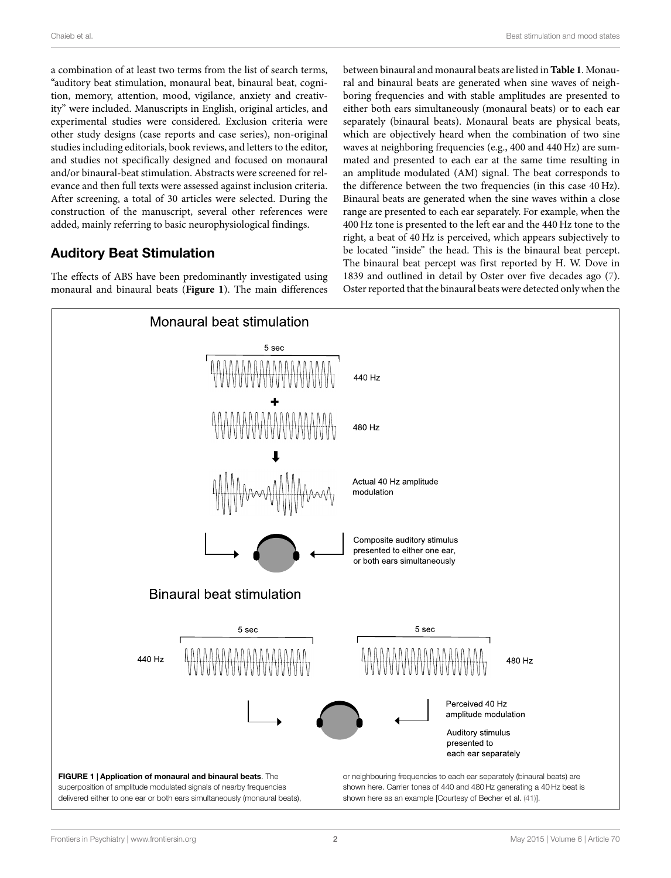a combination of at least two terms from the list of search terms, "auditory beat stimulation, monaural beat, binaural beat, cognition, memory, attention, mood, vigilance, anxiety and creativity" were included. Manuscripts in English, original articles, and experimental studies were considered. Exclusion criteria were other study designs (case reports and case series), non-original studies including editorials, book reviews, and letters to the editor, and studies not specifically designed and focused on monaural and/or binaural-beat stimulation. Abstracts were screened for relevance and then full texts were assessed against inclusion criteria. After screening, a total of 30 articles were selected. During the construction of the manuscript, several other references were added, mainly referring to basic neurophysiological findings.

### **Auditory Beat Stimulation**

The effects of ABS have been predominantly investigated using monaural and binaural beats (**[Figure 1](#page-1-0)**). The main differences between binaural and monaural beats are listed in**[Table 1](#page-2-0)**. Monaural and binaural beats are generated when sine waves of neighboring frequencies and with stable amplitudes are presented to either both ears simultaneously (monaural beats) or to each ear separately (binaural beats). Monaural beats are physical beats, which are objectively heard when the combination of two sine waves at neighboring frequencies (e.g., 400 and 440 Hz) are summated and presented to each ear at the same time resulting in an amplitude modulated (AM) signal. The beat corresponds to the difference between the two frequencies (in this case 40 Hz). Binaural beats are generated when the sine waves within a close range are presented to each ear separately. For example, when the 400 Hz tone is presented to the left ear and the 440 Hz tone to the right, a beat of 40 Hz is perceived, which appears subjectively to be located "inside" the head. This is the binaural beat percept. The binaural beat percept was first reported by H. W. Dove in 1839 and outlined in detail by Oster over five decades ago [\(7\)](#page-6-6). Oster reported that the binaural beats were detected only when the

<span id="page-1-0"></span>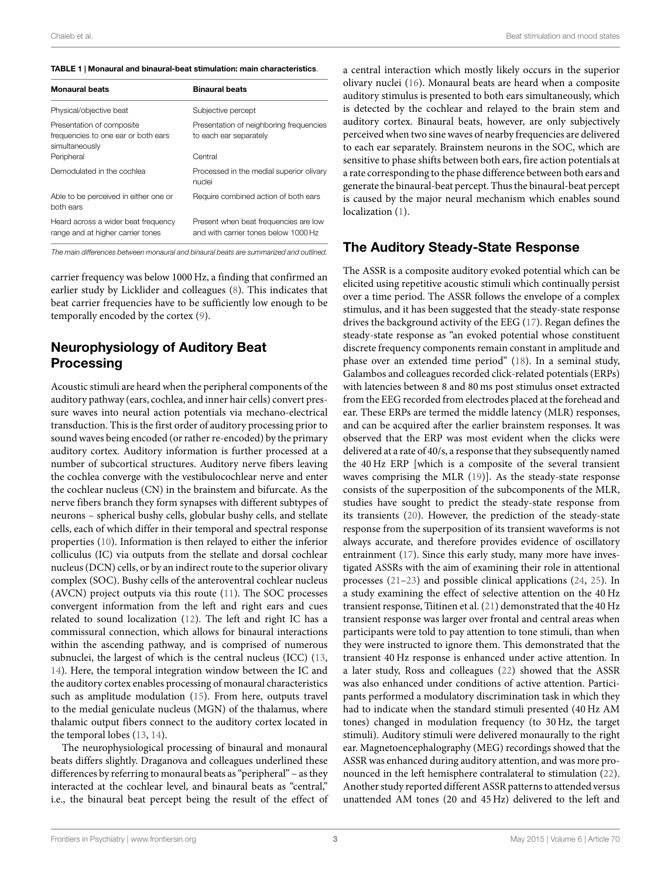<span id="page-2-0"></span>

| TABLE 1   Monaural and binaural-beat stimulation: main characteristics. |
|-------------------------------------------------------------------------|
|                                                                         |

| <b>Monaural beats</b>                                                              | <b>Binaural beats</b>                                                         |
|------------------------------------------------------------------------------------|-------------------------------------------------------------------------------|
| Physical/objective beat                                                            | Subjective percept                                                            |
| Presentation of composite<br>frequencies to one ear or both ears<br>simultaneously | Presentation of neighboring frequencies<br>to each ear separately             |
| Peripheral                                                                         | Central                                                                       |
| Demodulated in the cochlea                                                         | Processed in the medial superior olivary<br>nuclei                            |
| Able to be perceived in either one or<br>both ears                                 | Require combined action of both ears                                          |
| Heard across a wider beat frequency<br>range and at higher carrier tones           | Present when beat frequencies are low<br>and with carrier tones below 1000 Hz |

*The main differences between monaural and binaural beats are summarized and outlined.*

carrier frequency was below 1000 Hz, a finding that confirmed an earlier study by Licklider and colleagues([8](#page-6-7)). This indicates that beat carrier frequencies have to be sufficiently low enough to be temporally encoded by the cortex([9](#page-6-8)).

# **Neurophysiology of Auditory Beat Processing**

Acoustic stimuli are heard when the peripheral components of the auditory pathway (ears, cochlea, and inner hair cells) convert pressure waves into neural action potentials via mechano-electrical transduction. This is the first order of auditory processing prior to sound waves being encoded (or rather re-encoded) by the primary auditory cortex. Auditory information is further processed at a number of subcortical structures. Auditory nerve fibers leaving the cochlea converge with the vestibulocochlear nerve and enter the cochlear nucleus (CN) in the brainstem and bifurcate. As the nerve fibers branch they form synapses with different subtypes of neurons – spherical bushy cells, globular bushy cells, and stellate cells, each of which differ in their temporal and spectral response properties [\(10\)](#page-6-9). Information is then relayed to either the inferior colliculus (IC) via outputs from the stellate and dorsal cochlear nucleus (DCN) cells, or by an indirect route to the superior olivary complex (SOC). Bushy cells of the anteroventral cochlear nucleus (AVCN) project outputs via this route([11\)](#page-7-1). The SOC processes convergent information from the left and right ears and cues related to sound localization [\(12](#page-7-2)). The left and right IC has a commissural connection, which allows for binaural interactions within the ascending pathway, and is comprised of numerous subnuclei, the largest of which is the central nucleus (ICC)([13,](#page-7-3) [14](#page-7-4)). Here, the temporal integration window between the IC and the auditory cortex enables processing of monaural characteristics such as amplitude modulation([15\)](#page-7-5). From here, outputs travel to the medial geniculate nucleus (MGN) of the thalamus, where thalamic output fibers connect to the auditory cortex located in the temporal lobes([13,](#page-7-3) [14](#page-7-4)).

The neurophysiological processing of binaural and monaural beats differs slightly. Draganova and colleagues underlined these differences by referring to monaural beats as "peripheral" – as they interacted at the cochlear level, and binaural beats as "central," i.e., the binaural beat percept being the result of the effect of a central interaction which mostly likely occurs in the superior olivary nuclei([16\)](#page-7-6). Monaural beats are heard when a composite auditory stimulus is presented to both ears simultaneously, which is detected by the cochlear and relayed to the brain stem and auditory cortex. Binaural beats, however, are only subjectively perceived when two sine waves of nearby frequencies are delivered to each ear separately. Brainstem neurons in the SOC, which are sensitive to phase shifts between both ears, fire action potentials at a rate corresponding to the phase difference between both ears and generate the binaural-beat percept. Thus the binaural-beat percept is caused by the major neural mechanism which enables sound localization $(1)$  $(1)$  $(1)$ .

### **The Auditory Steady-State Response**

The ASSR is a composite auditory evoked potential which can be elicited using repetitive acoustic stimuli which continually persist over a time period. The ASSR follows the envelope of a complex stimulus, and it has been suggested that the steady-state response drives the background activity of the EEG [\(17](#page-7-7)). Regan defines the steady-state response as "an evoked potential whose constituent discrete frequency components remain constant in amplitude and phase over an extended time period" [\(18](#page-7-8)). In a seminal study, Galambos and colleagues recorded click-related potentials (ERPs) with latencies between 8 and 80 ms post stimulus onset extracted from the EEG recorded from electrodes placed at the forehead and ear. These ERPs are termed the middle latency (MLR) responses, and can be acquired after the earlier brainstem responses. It was observed that the ERP was most evident when the clicks were delivered at a rate of 40/s, a response that they subsequently named the 40 Hz ERP [which is a composite of the several transient waves comprising the MLR([19\)](#page-7-9)]. As the steady-state response consists of the superposition of the subcomponents of the MLR, studies have sought to predict the steady-state response from its transients [\(20\)](#page-7-10). However, the prediction of the steady-state response from the superposition of its transient waveforms is not always accurate, and therefore provides evidence of oscillatory entrainment([17\)](#page-7-7). Since this early study, many more have investigated ASSRs with the aim of examining their role in attentional processes([21–](#page-7-11)[23\)](#page-7-12) and possible clinical applications([24,](#page-7-13) [25](#page-7-14)). In a study examining the effect of selective attention on the 40 Hz transient response, Tiitinen et al. [\(21](#page-7-11)) demonstrated that the 40 Hz transient response was larger over frontal and central areas when participants were told to pay attention to tone stimuli, than when they were instructed to ignore them. This demonstrated that the transient 40 Hz response is enhanced under active attention. In a later study, Ross and colleagues [\(22](#page-7-15)) showed that the ASSR was also enhanced under conditions of active attention. Participants performed a modulatory discrimination task in which they had to indicate when the standard stimuli presented (40 Hz AM tones) changed in modulation frequency (to 30 Hz, the target stimuli). Auditory stimuli were delivered monaurally to the right ear. Magnetoencephalography (MEG) recordings showed that the ASSR was enhanced during auditory attention, and was more pronounced in the left hemisphere contralateral to stimulation([22\)](#page-7-15). Another study reported different ASSR patterns to attended versus unattended AM tones (20 and 45 Hz) delivered to the left and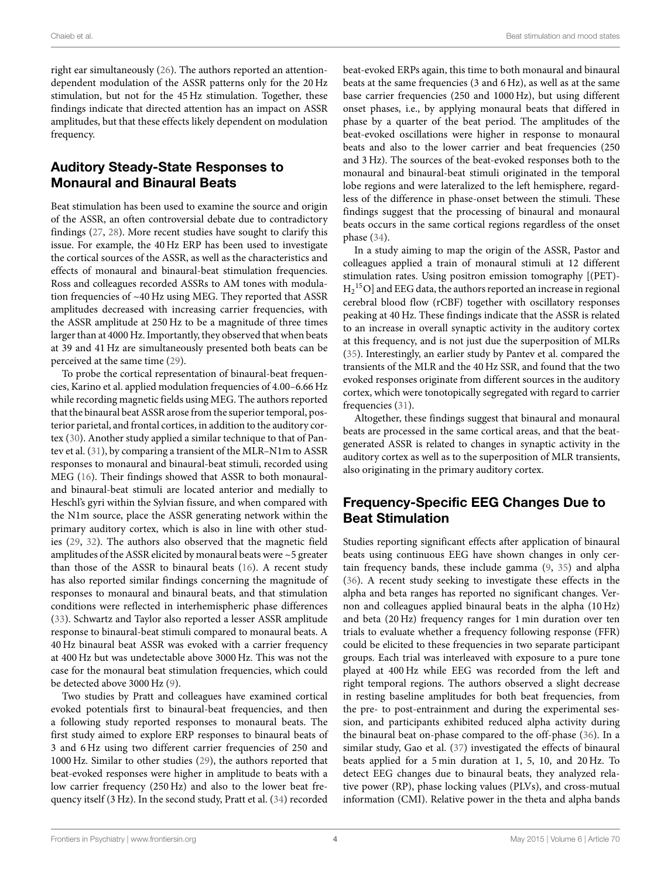right ear simultaneously [\(26](#page-7-16)). The authors reported an attentiondependent modulation of the ASSR patterns only for the 20 Hz stimulation, but not for the 45 Hz stimulation. Together, these findings indicate that directed attention has an impact on ASSR amplitudes, but that these effects likely dependent on modulation frequency.

# **Auditory Steady-State Responses to Monaural and Binaural Beats**

Beat stimulation has been used to examine the source and origin of the ASSR, an often controversial debate due to contradictory findings [\(27](#page-7-17), [28](#page-7-18)). More recent studies have sought to clarify this issue. For example, the 40 Hz ERP has been used to investigate the cortical sources of the ASSR, as well as the characteristics and effects of monaural and binaural-beat stimulation frequencies. Ross and colleagues recorded ASSRs to AM tones with modulation frequencies of ~40 Hz using MEG. They reported that ASSR amplitudes decreased with increasing carrier frequencies, with the ASSR amplitude at 250 Hz to be a magnitude of three times larger than at 4000 Hz. Importantly, they observed that when beats at 39 and 41 Hz are simultaneously presented both beats can be perceived at the same time([29\)](#page-7-19).

To probe the cortical representation of binaural-beat frequencies, Karino et al. applied modulation frequencies of 4.00–6.66 Hz while recording magnetic fields using MEG. The authors reported that the binaural beat ASSR arose from the superior temporal, posterior parietal, and frontal cortices, in addition to the auditory cortex([30\)](#page-7-20). Another study applied a similar technique to that of Pantev et al.([31\)](#page-7-21), by comparing a transient of the MLR–N1m to ASSR responses to monaural and binaural-beat stimuli, recorded using MEG([16\)](#page-7-6). Their findings showed that ASSR to both monauraland binaural-beat stimuli are located anterior and medially to Heschl's gyri within the Sylvian fissure, and when compared with the N1m source, place the ASSR generating network within the primary auditory cortex, which is also in line with other studies([29](#page-7-19), [32\)](#page-7-22). The authors also observed that the magnetic field amplitudes of the ASSR elicited by monaural beats were ~5 greater than those of the ASSR to binaural beats([16\)](#page-7-6). A recent study has also reported similar findings concerning the magnitude of responses to monaural and binaural beats, and that stimulation conditions were reflected in interhemispheric phase differences [\(33](#page-7-23)). Schwartz and Taylor also reported a lesser ASSR amplitude response to binaural-beat stimuli compared to monaural beats. A 40 Hz binaural beat ASSR was evoked with a carrier frequency at 400 Hz but was undetectable above 3000 Hz. This was not the case for the monaural beat stimulation frequencies, which could be detected above 3000 Hz([9](#page-6-8)).

Two studies by Pratt and colleagues have examined cortical evoked potentials first to binaural-beat frequencies, and then a following study reported responses to monaural beats. The first study aimed to explore ERP responses to binaural beats of 3 and 6 Hz using two different carrier frequencies of 250 and 1000 Hz. Similar to other studies [\(29](#page-7-19)), the authors reported that beat-evoked responses were higher in amplitude to beats with a low carrier frequency (250 Hz) and also to the lower beat frequency itself (3 Hz). In the second study, Pratt et al.([34\)](#page-7-24) recorded

beat-evoked ERPs again, this time to both monaural and binaural beats at the same frequencies (3 and 6 Hz), as well as at the same base carrier frequencies (250 and 1000 Hz), but using different onset phases, i.e., by applying monaural beats that differed in phase by a quarter of the beat period. The amplitudes of the beat-evoked oscillations were higher in response to monaural beats and also to the lower carrier and beat frequencies (250 and 3 Hz). The sources of the beat-evoked responses both to the monaural and binaural-beat stimuli originated in the temporal lobe regions and were lateralized to the left hemisphere, regardless of the difference in phase-onset between the stimuli. These findings suggest that the processing of binaural and monaural beats occurs in the same cortical regions regardless of the onset phase([34\)](#page-7-24).

In a study aiming to map the origin of the ASSR, Pastor and colleagues applied a train of monaural stimuli at 12 different stimulation rates. Using positron emission tomography [(PET)-  $\rm{H_2}^{15}O$ ] and EEG data, the authors reported an increase in regional cerebral blood flow (rCBF) together with oscillatory responses peaking at 40 Hz. These findings indicate that the ASSR is related to an increase in overall synaptic activity in the auditory cortex at this frequency, and is not just due the superposition of MLRs ([35\)](#page-7-25). Interestingly, an earlier study by Pantev et al. compared the transients of the MLR and the 40 Hz SSR, and found that the two evoked responses originate from different sources in the auditory cortex, which were tonotopically segregated with regard to carrier frequencies [\(31](#page-7-21)).

Altogether, these findings suggest that binaural and monaural beats are processed in the same cortical areas, and that the beatgenerated ASSR is related to changes in synaptic activity in the auditory cortex as well as to the superposition of MLR transients, also originating in the primary auditory cortex.

# **Frequency-Specific EEG Changes Due to Beat Stimulation**

Studies reporting significant effects after application of binaural beats using continuous EEG have shown changes in only certain frequency bands, these include gamma([9](#page-6-8), [35](#page-7-25)) and alpha ([36\)](#page-7-26). A recent study seeking to investigate these effects in the alpha and beta ranges has reported no significant changes. Vernon and colleagues applied binaural beats in the alpha (10 Hz) and beta (20 Hz) frequency ranges for 1 min duration over ten trials to evaluate whether a frequency following response (FFR) could be elicited to these frequencies in two separate participant groups. Each trial was interleaved with exposure to a pure tone played at 400 Hz while EEG was recorded from the left and right temporal regions. The authors observed a slight decrease in resting baseline amplitudes for both beat frequencies, from the pre- to post-entrainment and during the experimental session, and participants exhibited reduced alpha activity during the binaural beat on-phase compared to the off-phase([36\)](#page-7-26). In a similar study, Gao et al.([37\)](#page-7-27) investigated the effects of binaural beats applied for a 5 min duration at 1, 5, 10, and 20 Hz. To detect EEG changes due to binaural beats, they analyzed relative power (RP), phase locking values (PLVs), and cross-mutual information (CMI). Relative power in the theta and alpha bands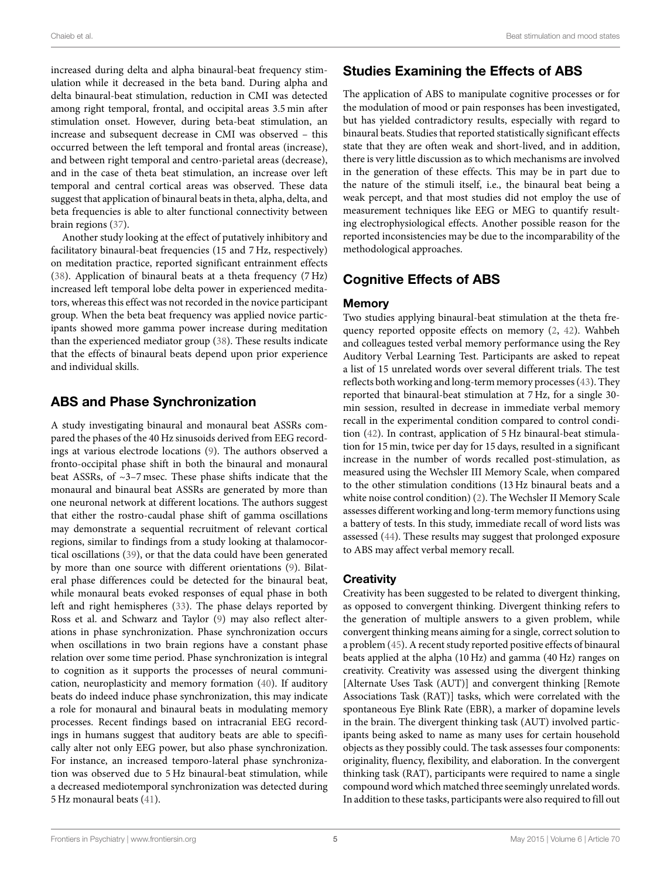increased during delta and alpha binaural-beat frequency stimulation while it decreased in the beta band. During alpha and delta binaural-beat stimulation, reduction in CMI was detected among right temporal, frontal, and occipital areas 3.5 min after stimulation onset. However, during beta-beat stimulation, an increase and subsequent decrease in CMI was observed – this occurred between the left temporal and frontal areas (increase), and between right temporal and centro-parietal areas (decrease), and in the case of theta beat stimulation, an increase over left temporal and central cortical areas was observed. These data suggest that application of binaural beats in theta, alpha, delta, and beta frequencies is able to alter functional connectivity between brain regions [\(37](#page-7-27)).

Another study looking at the effect of putatively inhibitory and facilitatory binaural-beat frequencies (15 and 7 Hz, respectively) on meditation practice, reported significant entrainment effects [\(38](#page-7-28)). Application of binaural beats at a theta frequency (7 Hz) increased left temporal lobe delta power in experienced meditators, whereas this effect was not recorded in the novice participant group. When the beta beat frequency was applied novice participants showed more gamma power increase during meditation than the experienced mediator group [\(38](#page-7-28)). These results indicate that the effects of binaural beats depend upon prior experience and individual skills.

### **ABS and Phase Synchronization**

A study investigating binaural and monaural beat ASSRs compared the phases of the 40 Hz sinusoids derived from EEG recordings at various electrode locations([9\)](#page-6-8). The authors observed a fronto-occipital phase shift in both the binaural and monaural beat ASSRs, of ~3–7 msec. These phase shifts indicate that the monaural and binaural beat ASSRs are generated by more than one neuronal network at different locations. The authors suggest that either the rostro-caudal phase shift of gamma oscillations may demonstrate a sequential recruitment of relevant cortical regions, similar to findings from a study looking at thalamocortical oscillations([39](#page-7-29)), or that the data could have been generated by more than one source with different orientations([9](#page-6-8)). Bilateral phase differences could be detected for the binaural beat, while monaural beats evoked responses of equal phase in both left and right hemispheres([33](#page-7-23)). The phase delays reported by Ross et al. and Schwarz and Taylor([9](#page-6-8)) may also reflect alterations in phase synchronization. Phase synchronization occurs when oscillations in two brain regions have a constant phase relation over some time period. Phase synchronization is integral to cognition as it supports the processes of neural communication, neuroplasticity and memory formation([40\)](#page-7-30). If auditory beats do indeed induce phase synchronization, this may indicate a role for monaural and binaural beats in modulating memory processes. Recent findings based on intracranial EEG recordings in humans suggest that auditory beats are able to specifically alter not only EEG power, but also phase synchronization. For instance, an increased temporo-lateral phase synchronization was observed due to 5 Hz binaural-beat stimulation, while a decreased mediotemporal synchronization was detected during 5 Hz monaural beats [\(41](#page-7-0)).

# **Studies Examining the Effects of ABS**

The application of ABS to manipulate cognitive processes or for the modulation of mood or pain responses has been investigated, but has yielded contradictory results, especially with regard to binaural beats. Studies that reported statistically significant effects state that they are often weak and short-lived, and in addition, there is very little discussion as to which mechanisms are involved in the generation of these effects. This may be in part due to the nature of the stimuli itself, i.e., the binaural beat being a weak percept, and that most studies did not employ the use of measurement techniques like EEG or MEG to quantify resulting electrophysiological effects. Another possible reason for the reported inconsistencies may be due to the incomparability of the methodological approaches.

# **Cognitive Effects of ABS**

### **Memory**

Two studies applying binaural-beat stimulation at the theta frequency reported opposite effects on memory([2](#page-6-1), [42\)](#page-7-31). Wahbeh and colleagues tested verbal memory performance using the Rey Auditory Verbal Learning Test. Participants are asked to repeat a list of 15 unrelated words over several different trials. The test reflects both working and long-term memory processes [\(43](#page-7-32)). They reported that binaural-beat stimulation at 7 Hz, for a single 30 min session, resulted in decrease in immediate verbal memory recall in the experimental condition compared to control condition [\(42](#page-7-31)). In contrast, application of 5 Hz binaural-beat stimulation for 15 min, twice per day for 15 days, resulted in a significant increase in the number of words recalled post-stimulation, as measured using the Wechsler III Memory Scale, when compared to the other stimulation conditions (13 Hz binaural beats and a white noise control condition) [\(2\)](#page-6-1). The Wechsler II Memory Scale assesses different working and long-term memory functions using a battery of tests. In this study, immediate recall of word lists was assessed [\(44](#page-7-33)). These results may suggest that prolonged exposure to ABS may affect verbal memory recall.

### **Creativity**

Creativity has been suggested to be related to divergent thinking, as opposed to convergent thinking. Divergent thinking refers to the generation of multiple answers to a given problem, while convergent thinking means aiming for a single, correct solution to a problem [\(45](#page-7-34)). A recent study reported positive effects of binaural beats applied at the alpha (10 Hz) and gamma (40 Hz) ranges on creativity. Creativity was assessed using the divergent thinking [Alternate Uses Task (AUT)] and convergent thinking [Remote Associations Task (RAT)] tasks, which were correlated with the spontaneous Eye Blink Rate (EBR), a marker of dopamine levels in the brain. The divergent thinking task (AUT) involved participants being asked to name as many uses for certain household objects as they possibly could. The task assesses four components: originality, fluency, flexibility, and elaboration. In the convergent thinking task (RAT), participants were required to name a single compound word which matched three seemingly unrelated words. In addition to these tasks, participants were also required to fill out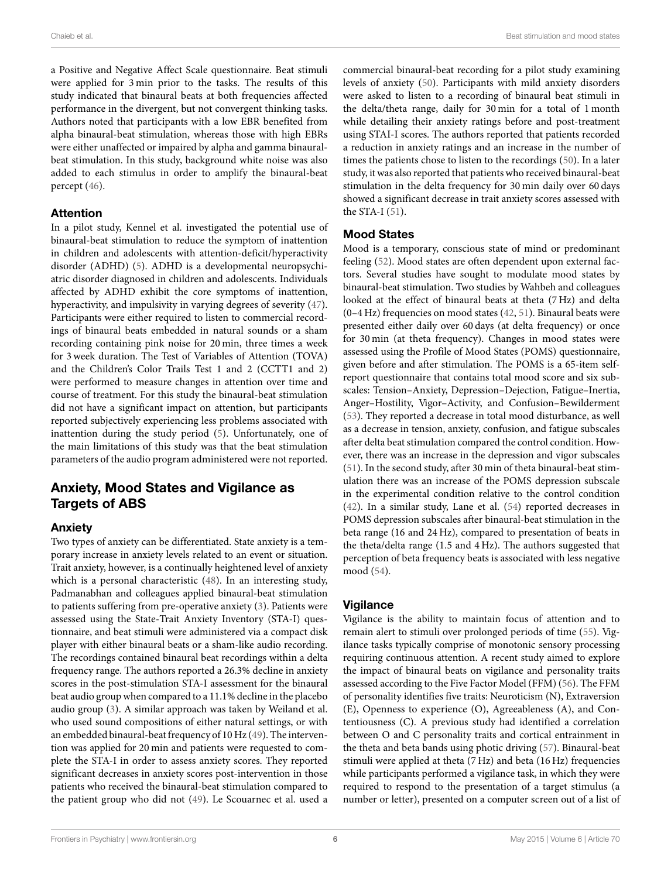a Positive and Negative Affect Scale questionnaire. Beat stimuli were applied for 3 min prior to the tasks. The results of this study indicated that binaural beats at both frequencies affected performance in the divergent, but not convergent thinking tasks. Authors noted that participants with a low EBR benefited from alpha binaural-beat stimulation, whereas those with high EBRs were either unaffected or impaired by alpha and gamma binauralbeat stimulation. In this study, background white noise was also added to each stimulus in order to amplify the binaural-beat percept([46\)](#page-7-35).

#### **Attention**

In a pilot study, Kennel et al. investigated the potential use of binaural-beat stimulation to reduce the symptom of inattention in children and adolescents with attention-deficit/hyperactivity disorder (ADHD)([5](#page-6-4)). ADHD is a developmental neuropsychiatric disorder diagnosed in children and adolescents. Individuals affected by ADHD exhibit the core symptoms of inattention, hyperactivity, and impulsivity in varying degrees of severity [\(47](#page-7-36)). Participants were either required to listen to commercial recordings of binaural beats embedded in natural sounds or a sham recording containing pink noise for 20 min, three times a week for 3 week duration. The Test of Variables of Attention (TOVA) and the Children's Color Trails Test 1 and 2 (CCTT1 and 2) were performed to measure changes in attention over time and course of treatment. For this study the binaural-beat stimulation did not have a significant impact on attention, but participants reported subjectively experiencing less problems associated with inattention during the study period([5\)](#page-6-4). Unfortunately, one of the main limitations of this study was that the beat stimulation parameters of the audio program administered were not reported.

# **Anxiety, Mood States and Vigilance as Targets of ABS**

### **Anxiety**

Two types of anxiety can be differentiated. State anxiety is a temporary increase in anxiety levels related to an event or situation. Trait anxiety, however, is a continually heightened level of anxiety which is a personal characteristic [\(48\)](#page-7-37). In an interesting study, Padmanabhan and colleagues applied binaural-beat stimulation to patients suffering from pre-operative anxiety([3\)](#page-6-2). Patients were assessed using the State-Trait Anxiety Inventory (STA-I) questionnaire, and beat stimuli were administered via a compact disk player with either binaural beats or a sham-like audio recording. The recordings contained binaural beat recordings within a delta frequency range. The authors reported a 26.3% decline in anxiety scores in the post-stimulation STA-I assessment for the binaural beat audio group when compared to a 11.1% decline in the placebo audio group([3](#page-6-2)). A similar approach was taken by Weiland et al. who used sound compositions of either natural settings, or with an embedded binaural-beat frequency of 10 Hz([49\)](#page-7-38). The intervention was applied for 20 min and patients were requested to complete the STA-I in order to assess anxiety scores. They reported significant decreases in anxiety scores post-intervention in those patients who received the binaural-beat stimulation compared to the patient group who did not([49\)](#page-7-38). Le Scouarnec et al. used a commercial binaural-beat recording for a pilot study examining levels of anxiety([50\)](#page-7-39). Participants with mild anxiety disorders were asked to listen to a recording of binaural beat stimuli in the delta/theta range, daily for 30 min for a total of 1 month while detailing their anxiety ratings before and post-treatment using STAI-I scores. The authors reported that patients recorded a reduction in anxiety ratings and an increase in the number of times the patients chose to listen to the recordings([50\)](#page-7-39). In a later study, it was also reported that patients who received binaural-beat stimulation in the delta frequency for 30 min daily over 60 days showed a significant decrease in trait anxiety scores assessed with the STA-I [\(51](#page-7-40)).

#### **Mood States**

Mood is a temporary, conscious state of mind or predominant feeling([52\)](#page-7-41). Mood states are often dependent upon external factors. Several studies have sought to modulate mood states by binaural-beat stimulation. Two studies by Wahbeh and colleagues looked at the effect of binaural beats at theta (7 Hz) and delta (0–4 Hz) frequencies on mood states [\(42](#page-7-31), [51\)](#page-7-40). Binaural beats were presented either daily over 60 days (at delta frequency) or once for 30 min (at theta frequency). Changes in mood states were assessed using the Profile of Mood States (POMS) questionnaire, given before and after stimulation. The POMS is a 65-item selfreport questionnaire that contains total mood score and six subscales: Tension–Anxiety, Depression–Dejection, Fatigue–Inertia, Anger–Hostility, Vigor–Activity, and Confusion–Bewilderment ([53\)](#page-7-42). They reported a decrease in total mood disturbance, as well as a decrease in tension, anxiety, confusion, and fatigue subscales after delta beat stimulation compared the control condition. However, there was an increase in the depression and vigor subscales ([51\)](#page-7-40). In the second study, after 30 min of theta binaural-beat stimulation there was an increase of the POMS depression subscale in the experimental condition relative to the control condition ([42\)](#page-7-31). In a similar study, Lane et al.([54\)](#page-7-43) reported decreases in POMS depression subscales after binaural-beat stimulation in the beta range (16 and 24 Hz), compared to presentation of beats in the theta/delta range (1.5 and 4 Hz). The authors suggested that perception of beta frequency beats is associated with less negative mood([54\)](#page-7-43).

### **Vigilance**

Vigilance is the ability to maintain focus of attention and to remain alert to stimuli over prolonged periods of time([55\)](#page-7-44). Vigilance tasks typically comprise of monotonic sensory processing requiring continuous attention. A recent study aimed to explore the impact of binaural beats on vigilance and personality traits assessed according to the Five Factor Model (FFM) [\(56](#page-7-45)). The FFM of personality identifies five traits: Neuroticism (N), Extraversion (E), Openness to experience (O), Agreeableness (A), and Contentiousness (C). A previous study had identified a correlation between O and C personality traits and cortical entrainment in the theta and beta bands using photic driving [\(57](#page-7-46)). Binaural-beat stimuli were applied at theta (7 Hz) and beta (16 Hz) frequencies while participants performed a vigilance task, in which they were required to respond to the presentation of a target stimulus (a number or letter), presented on a computer screen out of a list of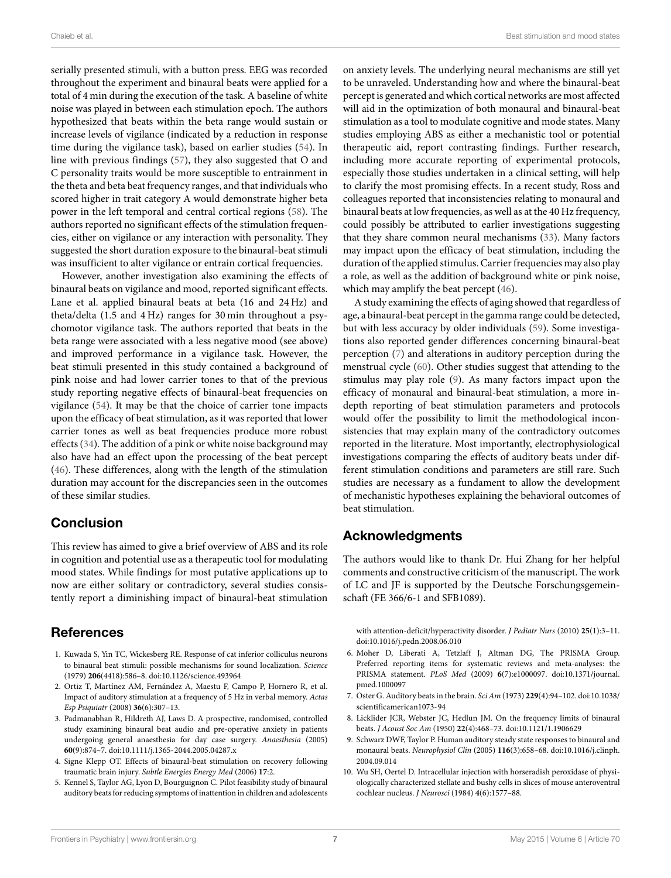serially presented stimuli, with a button press. EEG was recorded throughout the experiment and binaural beats were applied for a total of 4 min during the execution of the task. A baseline of white noise was played in between each stimulation epoch. The authors hypothesized that beats within the beta range would sustain or increase levels of vigilance (indicated by a reduction in response time during the vigilance task), based on earlier studies [\(54](#page-7-43)). In line with previous findings([57\)](#page-7-46), they also suggested that O and C personality traits would be more susceptible to entrainment in the theta and beta beat frequency ranges, and that individuals who scored higher in trait category A would demonstrate higher beta power in the left temporal and central cortical regions([58\)](#page-8-0). The authors reported no significant effects of the stimulation frequencies, either on vigilance or any interaction with personality. They suggested the short duration exposure to the binaural-beat stimuli was insufficient to alter vigilance or entrain cortical frequencies.

However, another investigation also examining the effects of binaural beats on vigilance and mood, reported significant effects. Lane et al. applied binaural beats at beta (16 and 24 Hz) and theta/delta (1.5 and 4 Hz) ranges for 30 min throughout a psychomotor vigilance task. The authors reported that beats in the beta range were associated with a less negative mood (see above) and improved performance in a vigilance task. However, the beat stimuli presented in this study contained a background of pink noise and had lower carrier tones to that of the previous study reporting negative effects of binaural-beat frequencies on vigilance [\(54](#page-7-43)). It may be that the choice of carrier tone impacts upon the efficacy of beat stimulation, as it was reported that lower carrier tones as well as beat frequencies produce more robust effects [\(34](#page-7-24)). The addition of a pink or white noise background may also have had an effect upon the processing of the beat percept [\(46](#page-7-35)). These differences, along with the length of the stimulation duration may account for the discrepancies seen in the outcomes of these similar studies.

### **Conclusion**

This review has aimed to give a brief overview of ABS and its role in cognition and potential use as a therapeutic tool for modulating mood states. While findings for most putative applications up to now are either solitary or contradictory, several studies consistently report a diminishing impact of binaural-beat stimulation

### **References**

- <span id="page-6-0"></span>1. Kuwada S, Yin TC, Wickesberg RE. Response of cat inferior colliculus neurons to binaural beat stimuli: possible mechanisms for sound localization. *Science* (1979) **206**(4418):586–8. doi:[10.1126/science.493964](http://dx.doi.org/10.1126/science.493964)
- <span id="page-6-1"></span>2. Ortiz T, Martínez AM, Fernández A, Maestu F, Campo P, Hornero R, et al. Impact of auditory stimulation at a frequency of 5 Hz in verbal memory. *Actas Esp Psiquiatr* (2008) **36**(6):307–13.
- <span id="page-6-2"></span>3. Padmanabhan R, Hildreth AJ, Laws D. A prospective, randomised, controlled study examining binaural beat audio and pre-operative anxiety in patients undergoing general anaesthesia for day case surgery. *Anaesthesia* (2005) **60**(9):874–7. doi:[10.1111/j.1365-2044.2005.04287.x](http://dx.doi.org/10.1111/j.1365-2044.2005.04287.x)
- <span id="page-6-3"></span>4. Signe Klepp OT. Effects of binaural-beat stimulation on recovery following traumatic brain injury. *Subtle Energies Energy Med* (2006) **17**:2.
- <span id="page-6-4"></span>5. Kennel S, Taylor AG, Lyon D, Bourguignon C. Pilot feasibility study of binaural auditory beats for reducing symptoms of inattention in children and adolescents

on anxiety levels. The underlying neural mechanisms are still yet to be unraveled. Understanding how and where the binaural-beat percept is generated and which cortical networks are most affected will aid in the optimization of both monaural and binaural-beat stimulation as a tool to modulate cognitive and mode states. Many studies employing ABS as either a mechanistic tool or potential therapeutic aid, report contrasting findings. Further research, including more accurate reporting of experimental protocols, especially those studies undertaken in a clinical setting, will help to clarify the most promising effects. In a recent study, Ross and colleagues reported that inconsistencies relating to monaural and binaural beats at low frequencies, as well as at the 40 Hz frequency, could possibly be attributed to earlier investigations suggesting that they share common neural mechanisms([33\)](#page-7-23). Many factors may impact upon the efficacy of beat stimulation, including the duration of the applied stimulus. Carrier frequencies may also play a role, as well as the addition of background white or pink noise, which may amplify the beat percept([46\)](#page-7-35).

A study examining the effects of aging showed that regardless of age, a binaural-beat percept in the gamma range could be detected, but with less accuracy by older individuals([59\)](#page-8-1). Some investigations also reported gender differences concerning binaural-beat perception [\(7\)](#page-6-6) and alterations in auditory perception during the menstrual cycle [\(60](#page-8-2)). Other studies suggest that attending to the stimulus may play role [\(9\)](#page-6-8). As many factors impact upon the efficacy of monaural and binaural-beat stimulation, a more indepth reporting of beat stimulation parameters and protocols would offer the possibility to limit the methodological inconsistencies that may explain many of the contradictory outcomes reported in the literature. Most importantly, electrophysiological investigations comparing the effects of auditory beats under different stimulation conditions and parameters are still rare. Such studies are necessary as a fundament to allow the development of mechanistic hypotheses explaining the behavioral outcomes of beat stimulation.

### **Acknowledgments**

The authors would like to thank Dr. Hui Zhang for her helpful comments and constructive criticism of the manuscript. The work of LC and JF is supported by the Deutsche Forschungsgemeinschaft (FE 366/6-1 and SFB1089).

with attention-deficit/hyperactivity disorder. *J Pediatr Nurs* (2010) **25**(1):3–11. doi:[10.1016/j.pedn.2008.06.010](http://dx.doi.org/10.1016/j.pedn.2008.06.010)

- <span id="page-6-5"></span>6. Moher D, Liberati A, Tetzlaff J, Altman DG, The PRISMA Group. Preferred reporting items for systematic reviews and meta-analyses: the PRISMA statement. *PLoS Med* (2009) **6**(7):e1000097. doi[:10.1371/journal.](http://dx.doi.org/10.1371/journal.pmed.1000097) [pmed.1000097](http://dx.doi.org/10.1371/journal.pmed.1000097)
- <span id="page-6-6"></span>7. Oster G. Auditory beats in the brain. *Sci Am* (1973) **229**(4):94–102. doi:[10.1038/](http://dx.doi.org/10.1038/scientificamerican1073-94) [scientificamerican1073-94](http://dx.doi.org/10.1038/scientificamerican1073-94)
- <span id="page-6-7"></span>8. Licklider JCR, Webster JC, Hedlun JM. On the frequency limits of binaural beats. *J Acoust Soc Am* (1950) **22**(4):468–73. doi[:10.1121/1.1906629](http://dx.doi.org/10.1121/1.1906629)
- <span id="page-6-8"></span>9. Schwarz DWF, Taylor P. Human auditory steady state responses to binaural and monaural beats. *Neurophysiol Clin* (2005) **116**(3):658–68. doi[:10.1016/j.clinph.](http://dx.doi.org/10.1016/j.clinph.2004.09.014) [2004.09.014](http://dx.doi.org/10.1016/j.clinph.2004.09.014)
- <span id="page-6-9"></span>10. Wu SH, Oertel D. Intracellular injection with horseradish peroxidase of physiologically characterized stellate and bushy cells in slices of mouse anteroventral cochlear nucleus. *J Neurosci* (1984) **4**(6):1577–88.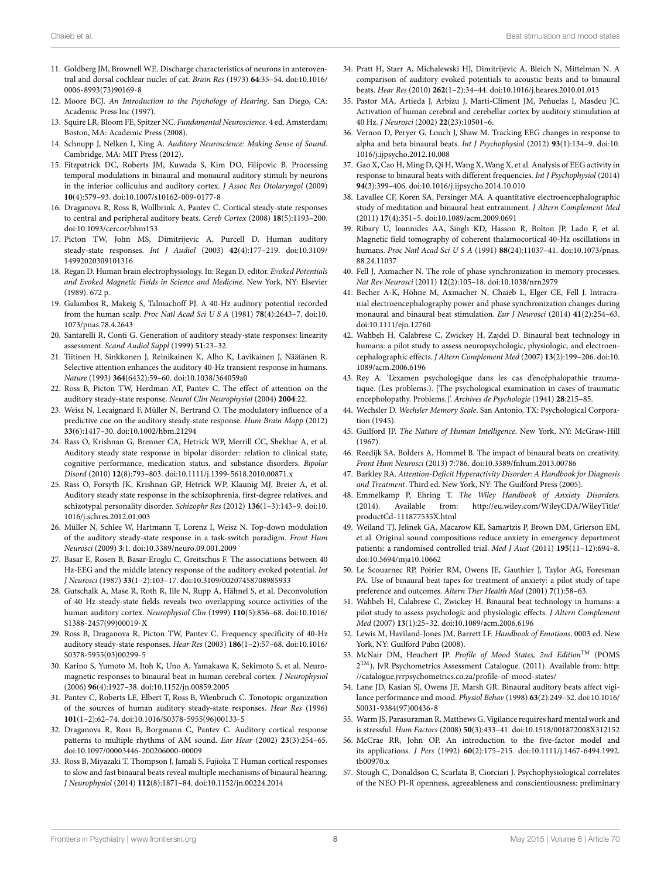- <span id="page-7-1"></span>11. Goldberg JM, Brownell WE. Discharge characteristics of neurons in anteroventral and dorsal cochlear nuclei of cat. *Brain Res* (1973) **64**:35–54. doi[:10.1016/](http://dx.doi.org/10.1016/0006-8993(73)90169-8) [0006-8993\(73\)90169-8](http://dx.doi.org/10.1016/0006-8993(73)90169-8)
- <span id="page-7-2"></span>12. Moore BCJ. *An Introduction to the Psychology of Hearing*. San Diego, CA: Academic Press Inc (1997).
- <span id="page-7-3"></span>13. Squire LR, Bloom FE, Spitzer NC. *Fundamental Neuroscience*. 4 ed. Amsterdam; Boston, MA: Academic Press (2008).
- <span id="page-7-4"></span>14. Schnupp J, Nelken I, King A. *Auditory Neuroscience: Making Sense of Sound*. Cambridge, MA: MIT Press (2012).
- <span id="page-7-5"></span>15. Fitzpatrick DC, Roberts JM, Kuwada S, Kim DO, Filipovic B. Processing temporal modulations in binaural and monaural auditory stimuli by neurons in the inferior colliculus and auditory cortex. *J Assoc Res Otolaryngol* (2009) **10**(4):579–93. doi[:10.1007/s10162-009-0177-8](http://dx.doi.org/10.1007/s10162-009-0177-8)
- <span id="page-7-6"></span>16. Draganova R, Ross B, Wollbrink A, Pantev C. Cortical steady-state responses to central and peripheral auditory beats. *Cereb Cortex* (2008) **18**(5):1193–200. doi[:10.1093/cercor/bhm153](http://dx.doi.org/10.1093/cercor/bhm153)
- <span id="page-7-7"></span>17. Picton TW, John MS, Dimitrijevic A, Purcell D. Human auditory steady-state responses. *Int J Audiol* (2003) **42**(4):177–219. doi[:10.3109/](http://dx.doi.org/10.3109/14992020309101316) [14992020309101316](http://dx.doi.org/10.3109/14992020309101316)
- <span id="page-7-8"></span>18. Regan D. Human brain electrophysiology. In: Regan D, editor. *Evoked Potentials and Evoked Magnetic Fields in Science and Medicine*. New York, NY: Elsevier (1989). 672 p.
- <span id="page-7-9"></span>19. Galambos R, Makeig S, Talmachoff PJ. A 40-Hz auditory potential recorded from the human scalp. *Proc Natl Acad Sci U S A* (1981) **78**(4):2643–7. doi[:10.](http://dx.doi.org/10.1073/pnas.78.4.2643) [1073/pnas.78.4.2643](http://dx.doi.org/10.1073/pnas.78.4.2643)
- <span id="page-7-10"></span>20. Santarelli R, Conti G. Generation of auditory steady-state responses: linearity assessment. *Scand Audiol Suppl* (1999) **51**:23–32.
- <span id="page-7-11"></span>21. Tiitinen H, Sinkkonen J, Reinikainen K, Alho K, Lavikainen J, Näätänen R. Selective attention enhances the auditory 40-Hz transient response in humans. *Nature* (1993) **364**(6432):59–60. doi:[10.1038/364059a0](http://dx.doi.org/10.1038/364059a0)
- <span id="page-7-15"></span>22. Ross B, Picton TW, Herdman AT, Pantev C. The effect of attention on the auditory steady-state response. *Neurol Clin Neurophysiol* (2004) **2004**:22.
- <span id="page-7-12"></span>23. Weisz N, Lecaignard F, Müller N, Bertrand O. The modulatory influence of a predictive cue on the auditory steady-state response. *Hum Brain Mapp* (2012) **33**(6):1417–30. doi[:10.1002/hbm.21294](http://dx.doi.org/10.1002/hbm.21294)
- <span id="page-7-13"></span>24. Rass O, Krishnan G, Brenner CA, Hetrick WP, Merrill CC, Shekhar A, et al. Auditory steady state response in bipolar disorder: relation to clinical state, cognitive performance, medication status, and substance disorders. *Bipolar Disord* (2010) **12**(8):793–803. doi:[10.1111/j.1399-5618.2010.00871.x](http://dx.doi.org/10.1111/j.1399-5618.2010.00871.x)
- <span id="page-7-14"></span>25. Rass O, Forsyth JK, Krishnan GP, Hetrick WP, Klaunig MJ, Breier A, et al. Auditory steady state response in the schizophrenia, first-degree relatives, and schizotypal personality disorder. *Schizophr Res* (2012) **136**(1–3):143–9. doi[:10.](http://dx.doi.org/10.1016/j.schres.2012.01.003) [1016/j.schres.2012.01.003](http://dx.doi.org/10.1016/j.schres.2012.01.003)
- <span id="page-7-16"></span>26. Müller N, Schlee W, Hartmann T, Lorenz I, Weisz N. Top-down modulation of the auditory steady-state response in a task-switch paradigm. *Front Hum Neurosci* (2009) **3**:1. doi[:10.3389/neuro.09.001.2009](http://dx.doi.org/10.3389/neuro.09.001.2009)
- <span id="page-7-17"></span>27. Basar E, Rosen B, Basar-Eroglu C, Greitschus F. The associations between 40 Hz-EEG and the middle latency response of the auditory evoked potential. *Int J Neurosci* (1987) **33**(1–2):103–17. doi[:10.3109/00207458708985933](http://dx.doi.org/10.3109/00207458708985933)
- <span id="page-7-18"></span>28. Gutschalk A, Mase R, Roth R, Ille N, Rupp A, Hähnel S, et al. Deconvolution of 40 Hz steady-state fields reveals two overlapping source activities of the human auditory cortex. *Neurophysiol Clin* (1999) **110**(5):856–68. doi[:10.1016/](http://dx.doi.org/10.1016/S1388-2457(99)00019-X) [S1388-2457\(99\)00019-X](http://dx.doi.org/10.1016/S1388-2457(99)00019-X)
- <span id="page-7-19"></span>29. Ross B, Draganova R, Picton TW, Pantev C. Frequency specificity of 40-Hz auditory steady-state responses. *Hear Res* (2003) **186**(1–2):57–68. doi[:10.1016/](http://dx.doi.org/10.1016/S0378-5955(03)00299-5) [S0378-5955\(03\)00299-5](http://dx.doi.org/10.1016/S0378-5955(03)00299-5)
- <span id="page-7-20"></span>30. Karino S, Yumoto M, Itoh K, Uno A, Yamakawa K, Sekimoto S, et al. Neuromagnetic responses to binaural beat in human cerebral cortex. *J Neurophysiol* (2006) **96**(4):1927–38. doi[:10.1152/jn.00859.2005](http://dx.doi.org/10.1152/jn.00859.2005)
- <span id="page-7-21"></span>31. Pantev C, Roberts LE, Elbert T, Ross B, Wienbruch C. Tonotopic organization of the sources of human auditory steady-state responses. *Hear Res* (1996) **101**(1–2):62–74. doi[:10.1016/S0378-5955\(96\)00133-5](http://dx.doi.org/10.1016/S0378-5955(96)00133-5)
- <span id="page-7-22"></span>32. Draganova R, Ross B, Borgmann C, Pantev C. Auditory cortical response patterns to multiple rhythms of AM sound. *Ear Hear* (2002) **23**(3):254–65. doi[:10.1097/00003446-200206000-00009](http://dx.doi.org/10.1097/00003446-200206000-00009)
- <span id="page-7-23"></span>33. Ross B, Miyazaki T, Thompson J, Jamali S, Fujioka T. Human cortical responses to slow and fast binaural beats reveal multiple mechanisms of binaural hearing. *J Neurophysiol* (2014) **112**(8):1871–84. doi[:10.1152/jn.00224.2014](http://dx.doi.org/10.1152/jn.00224.2014)
- <span id="page-7-24"></span>34. Pratt H, Starr A, Michalewski HJ, Dimitrijevic A, Bleich N, Mittelman N. A comparison of auditory evoked potentials to acoustic beats and to binaural beats. *Hear Res* (2010) **262**(1–2):34–44. doi[:10.1016/j.heares.2010.01.013](http://dx.doi.org/10.1016/j.heares.2010.01.013)
- <span id="page-7-25"></span>35. Pastor MA, Artieda J, Arbizu J, Marti-Climent JM, Peñuelas I, Masdeu JC. Activation of human cerebral and cerebellar cortex by auditory stimulation at 40 Hz. *J Neurosci* (2002) **22**(23):10501–6.
- <span id="page-7-26"></span>36. Vernon D, Peryer G, Louch J, Shaw M. Tracking EEG changes in response to alpha and beta binaural beats. *Int J Psychophysiol* (2012) **93**(1):134–9. doi[:10.](http://dx.doi.org/10.1016/j.ijpsycho.2012.10.008) [1016/j.ijpsycho.2012.10.008](http://dx.doi.org/10.1016/j.ijpsycho.2012.10.008)
- <span id="page-7-27"></span>37. Gao X, Cao H, Ming D, Qi H, Wang X, Wang X, et al. Analysis of EEG activity in response to binaural beats with different frequencies. *Int J Psychophysiol* (2014) **94**(3):399–406. doi:[10.1016/j.ijpsycho.2014.10.010](http://dx.doi.org/10.1016/j.ijpsycho.2014.10.010)
- <span id="page-7-28"></span>38. Lavallee CF, Koren SA, Persinger MA. A quantitative electroencephalographic study of meditation and binaural beat entrainment. *J Altern Complement Med* (2011) **17**(4):351–5. doi:[10.1089/acm.2009.0691](http://dx.doi.org/10.1089/acm.2009.0691)
- <span id="page-7-29"></span>39. Ribary U, Ioannides AA, Singh KD, Hasson R, Bolton JP, Lado F, et al. Magnetic field tomography of coherent thalamocortical 40-Hz oscillations in humans. *Proc Natl Acad Sci U S A* (1991) **88**(24):11037–41. doi:[10.1073/pnas.](http://dx.doi.org/10.1073/pnas.88.24.11037) [88.24.11037](http://dx.doi.org/10.1073/pnas.88.24.11037)
- <span id="page-7-30"></span>40. Fell J, Axmacher N. The role of phase synchronization in memory processes. *Nat Rev Neurosci* (2011) **12**(2):105–18. doi[:10.1038/nrn2979](http://dx.doi.org/10.1038/nrn2979)
- <span id="page-7-0"></span>41. Becher A-K, Höhne M, Axmacher N, Chaieb L, Elger CE, Fell J. Intracranial electroencephalography power and phase synchronization changes during monaural and binaural beat stimulation. *Eur J Neurosci* (2014) **41**(2):254–63. doi:[10.1111/ejn.12760](http://dx.doi.org/10.1111/ejn.12760)
- <span id="page-7-31"></span>42. Wahbeh H, Calabrese C, Zwickey H, Zajdel D. Binaural beat technology in humans: a pilot study to assess neuropsychologic, physiologic, and electroencephalographic effects. *J Altern Complement Med* (2007) **13**(2):199–206. doi[:10.](http://dx.doi.org/10.1089/acm.2006.6196) [1089/acm.2006.6196](http://dx.doi.org/10.1089/acm.2006.6196)
- <span id="page-7-32"></span>43. Rey A. 'L'examen psychologique dans les cas d'encéphalopathie traumatique. (Les problems.). [The psychological examination in cases of traumatic encepholopathy. Problems.]'. *Archives de Psychologie* (1941) **28**:215–85.
- <span id="page-7-33"></span>44. Wechsler D. *Wechsler Memory Scale*. San Antonio, TX: Psychological Corporation (1945).
- <span id="page-7-34"></span>45. Guilford JP. *The Nature of Human Intelligence*. New York, NY: McGraw-Hill  $(1967)$
- <span id="page-7-35"></span>46. Reedijk SA, Bolders A, Hommel B. The impact of binaural beats on creativity. *Front Hum Neurosci* (2013) **7**:786. doi[:10.3389/fnhum.2013.00786](http://dx.doi.org/10.3389/fnhum.2013.00786)
- <span id="page-7-36"></span>47. Barkley RA. *Attention-Deficit Hyperactivity Disorder: A Handbook for Diagnosis and Treatment*. Third ed. New York, NY: The Guilford Press (2005).
- <span id="page-7-37"></span>48. Emmelkamp P, Ehring T. *The Wiley Handbook of Anxiety Disorders*. (2014). Available from: [http://eu.wiley.com/WileyCDA/WileyTitle/](http://eu.wiley.com/WileyCDA/WileyTitle/productCd-111877535X.html) [productCd-111877535X.html](http://eu.wiley.com/WileyCDA/WileyTitle/productCd-111877535X.html)
- <span id="page-7-38"></span>49. Weiland TJ, Jelinek GA, Macarow KE, Samartzis P, Brown DM, Grierson EM, et al. Original sound compositions reduce anxiety in emergency department patients: a randomised controlled trial. *Med J Aust* (2011) **195**(11–12):694–8. doi:[10.5694/mja10.10662](http://dx.doi.org/10.5694/mja10.10662)
- <span id="page-7-39"></span>50. Le Scouarnec RP, Poirier RM, Owens JE, Gauthier J, Taylor AG, Foresman PA. Use of binaural beat tapes for treatment of anxiety: a pilot study of tape preference and outcomes. *Altern Ther Health Med* (2001) **7**(1):58–63.
- <span id="page-7-40"></span>51. Wahbeh H, Calabrese C, Zwickey H. Binaural beat technology in humans: a pilot study to assess psychologic and physiologic effects. *J Altern Complement Med* (2007) **13**(1):25–32. doi[:10.1089/acm.2006.6196](http://dx.doi.org/10.1089/acm.2006.6196)
- <span id="page-7-41"></span>52. Lewis M, Haviland-Jones JM, Barrett LF. *Handbook of Emotions*. 0003 ed. New York, NY: Guilford Pubn (2008).
- <span id="page-7-42"></span>53. McNair DM, Heuchert JP. *Profile of Mood States, 2nd Edition*TM (POMS 2<sup>TM</sup>), JvR Psychometrics Assessment Catalogue. (2011). Available from: [http:](http://catalogue.jvrpsychometrics.co.za/profile-of-mood-states/) [//catalogue.jvrpsychometrics.co.za/profile-of-mood-states/](http://catalogue.jvrpsychometrics.co.za/profile-of-mood-states/)
- <span id="page-7-43"></span>54. Lane JD, Kasian SJ, Owens JE, Marsh GR. Binaural auditory beats affect vigilance performance and mood. *Physiol Behav* (1998) **63**(2):249–52. doi:[10.1016/](http://dx.doi.org/10.1016/S0031-9384(97)00436-8) [S0031-9384\(97\)00436-8](http://dx.doi.org/10.1016/S0031-9384(97)00436-8)
- <span id="page-7-44"></span>55. Warm JS, Parasuraman R, Matthews G. Vigilance requires hard mental work and is stressful. *Hum Factors* (2008) **50**(3):433–41. doi:[10.1518/001872008X312152](http://dx.doi.org/10.1518/001872008X312152)
- <span id="page-7-45"></span>56. McCrae RR, John OP. An introduction to the five-factor model and its applications. *J Pers* (1992) **60**(2):175–215. doi[:10.1111/j.1467-6494.1992.](http://dx.doi.org/10.1111/j.1467-6494.1992.tb00970.x) [tb00970.x](http://dx.doi.org/10.1111/j.1467-6494.1992.tb00970.x)
- <span id="page-7-46"></span>57. Stough C, Donaldson C, Scarlata B, Ciorciari J. Psychophysiological correlates of the NEO PI-R openness, agreeableness and conscientiousness: preliminary